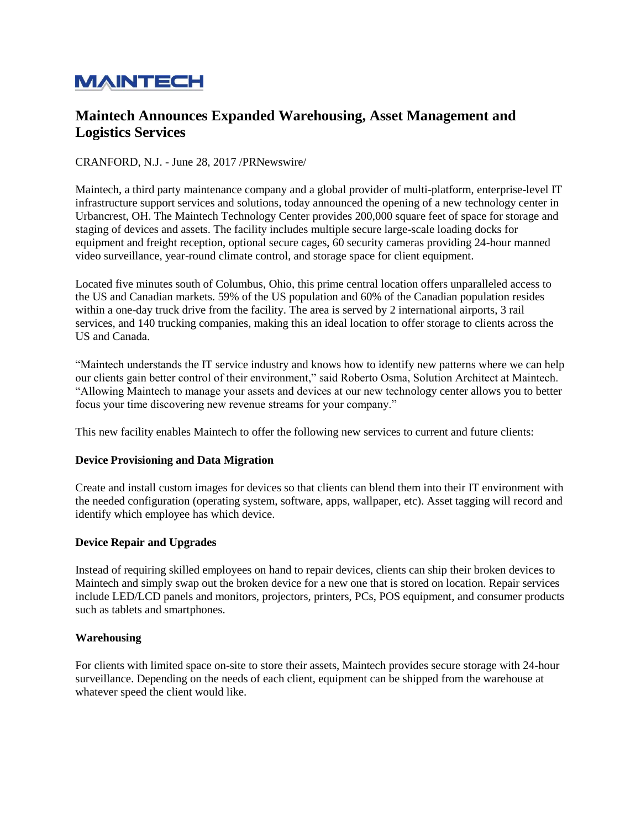# **MAINTECH**

# **Maintech Announces Expanded Warehousing, Asset Management and Logistics Services**

## CRANFORD, N.J. - June 28, 2017 /PRNewswire/

Maintech, a third party maintenance company and a global provider of multi-platform, enterprise-level IT infrastructure support services and solutions, today announced the opening of a new technology center in Urbancrest, OH. The Maintech Technology Center provides 200,000 square feet of space for storage and staging of devices and assets. The facility includes multiple secure large-scale loading docks for equipment and freight reception, optional secure cages, 60 security cameras providing 24-hour manned video surveillance, year-round climate control, and storage space for client equipment.

Located five minutes south of Columbus, Ohio, this prime central location offers unparalleled access to the US and Canadian markets. 59% of the US population and 60% of the Canadian population resides within a one-day truck drive from the facility. The area is served by 2 international airports, 3 rail services, and 140 trucking companies, making this an ideal location to offer storage to clients across the US and Canada.

"Maintech understands the IT service industry and knows how to identify new patterns where we can help our clients gain better control of their environment," said Roberto Osma, Solution Architect at Maintech. "Allowing Maintech to manage your assets and devices at our new technology center allows you to better focus your time discovering new revenue streams for your company."

This new facility enables Maintech to offer the following new services to current and future clients:

#### **Device Provisioning and Data Migration**

Create and install custom images for devices so that clients can blend them into their IT environment with the needed configuration (operating system, software, apps, wallpaper, etc). Asset tagging will record and identify which employee has which device.

#### **Device Repair and Upgrades**

Instead of requiring skilled employees on hand to repair devices, clients can ship their broken devices to Maintech and simply swap out the broken device for a new one that is stored on location. Repair services include LED/LCD panels and monitors, projectors, printers, PCs, POS equipment, and consumer products such as tablets and smartphones.

#### **Warehousing**

For clients with limited space on-site to store their assets, Maintech provides secure storage with 24-hour surveillance. Depending on the needs of each client, equipment can be shipped from the warehouse at whatever speed the client would like.